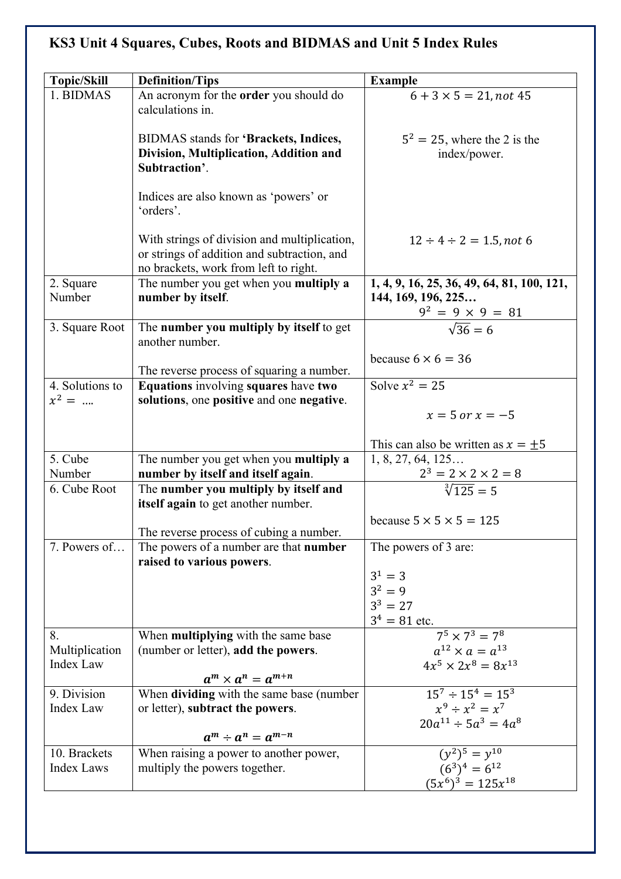## **KS3 Unit 4 Squares, Cubes, Roots and BIDMAS and Unit 5 Index Rules**

| <b>Topic/Skill</b>          | <b>Definition/Tips</b>                                                                                                               | <b>Example</b>                                                   |
|-----------------------------|--------------------------------------------------------------------------------------------------------------------------------------|------------------------------------------------------------------|
| 1. BIDMAS                   | An acronym for the order you should do<br>calculations in.                                                                           | $\overline{6} + 3 \times 5 = 21$ , not 45                        |
|                             | BIDMAS stands for 'Brackets, Indices,<br>Division, Multiplication, Addition and<br>Subtraction'.                                     | $5^2 = 25$ , where the 2 is the<br>index/power.                  |
|                             | Indices are also known as 'powers' or<br>'orders'.                                                                                   |                                                                  |
|                             | With strings of division and multiplication,<br>or strings of addition and subtraction, and<br>no brackets, work from left to right. | $12 \div 4 \div 2 = 1.5$ , not 6                                 |
| 2. Square<br>Number         | The number you get when you multiply a<br>number by itself.                                                                          | 1, 4, 9, 16, 25, 36, 49, 64, 81, 100, 121,<br>144, 169, 196, 225 |
| 3. Square Root              | The number you multiply by itself to get<br>another number.                                                                          | $\frac{9^2 = 9 \times 9 = 81}{\sqrt{36} = 6}$                    |
|                             | The reverse process of squaring a number.                                                                                            | because $6 \times 6 = 36$                                        |
| 4. Solutions to<br>$x^2 = $ | Equations involving squares have two<br>solutions, one positive and one negative.                                                    | Solve $x^2 = 25$                                                 |
|                             |                                                                                                                                      | $x = 5$ or $x = -5$                                              |
|                             |                                                                                                                                      | This can also be written as $x = \pm 5$                          |
| 5. Cube                     | The number you get when you multiply a                                                                                               | 1, 8, 27, 64, 125                                                |
| Number<br>6. Cube Root      | number by itself and itself again.                                                                                                   | $\frac{2^3 = 2 \times 2 \times 2 = 8}{\sqrt[3]{125}}$            |
|                             | The number you multiply by itself and<br>itself again to get another number.                                                         |                                                                  |
|                             |                                                                                                                                      | because $5 \times 5 \times 5 = 125$                              |
|                             | The reverse process of cubing a number.                                                                                              |                                                                  |
| 7. Powers of                | The powers of a number are that <b>number</b><br>raised to various powers.                                                           | The powers of 3 are:                                             |
|                             |                                                                                                                                      | $3^1 = 3$                                                        |
|                             |                                                                                                                                      | $3^2 = 9$                                                        |
|                             |                                                                                                                                      | $3^3 = 27$                                                       |
|                             |                                                                                                                                      | $3^4 = 81$ etc.<br>$7^5 \times 7^3 = 7^8$                        |
| 8.<br>Multiplication        | When multiplying with the same base<br>(number or letter), add the powers.                                                           | $a^{12} \times a = a^{13}$                                       |
| Index Law                   |                                                                                                                                      | $4x^5 \times 2x^8 = 8x^{13}$                                     |
|                             | $a^m \times a^n = a^{m+n}$                                                                                                           |                                                                  |
| 9. Division                 | When dividing with the same base (number                                                                                             | $15^7 \div 15^4 = 15^3$                                          |
| Index Law                   | or letter), subtract the powers.                                                                                                     | $x^9 \div x^2 = x^7$                                             |
|                             | $a^m \div a^n = a^{m-n}$                                                                                                             | $20a^{11} \div 5a^3 = 4a^8$                                      |
| 10. Brackets                | When raising a power to another power,                                                                                               | $(y^2)^5 = y^{10}$                                               |
| <b>Index Laws</b>           | multiply the powers together.                                                                                                        | $(6^3)^4 = 6^{12}$                                               |
|                             |                                                                                                                                      | $(5x^6)^3 = 125x^{18}$                                           |